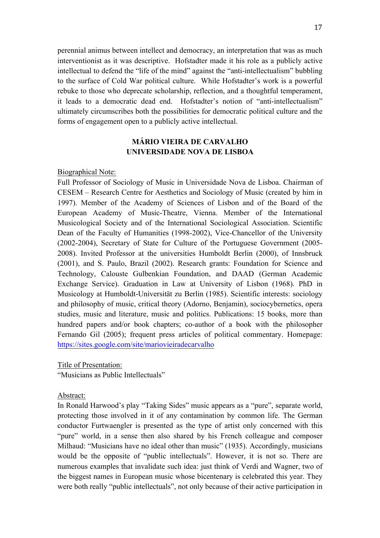perennial animus between intellect and democracy, an interpretation that was as much interventionist as it was descriptive. Hofstadter made it his role as a publicly active intellectual to defend the "life of the mind" against the "anti-intellectualism" bubbling to the surface of Cold War political culture. While Hofstadter's work is a powerful rebuke to those who deprecate scholarship, reflection, and a thoughtful temperament, it leads to a democratic dead end. Hofstadter's notion of "anti-intellectualism" ultimately circumscribes both the possibilities for democratic political culture and the forms of engagement open to a publicly active intellectual.

# **MÁRIO VIEIRA DE CARVALHO UNIVERSIDADE NOVA DE LISBOA**

## Biographical Note:

Full Professor of Sociology of Music in Universidade Nova de Lisboa. Chairman of CESEM – Research Centre for Aesthetics and Sociology of Music (created by him in 1997). Member of the Academy of Sciences of Lisbon and of the Board of the European Academy of Music-Theatre, Vienna. Member of the International Musicological Society and of the International Sociological Association. Scientific Dean of the Faculty of Humanities (1998-2002), Vice-Chancellor of the University (2002-2004), Secretary of State for Culture of the Portuguese Government (2005- 2008). Invited Professor at the universities Humboldt Berlin (2000), of Innsbruck (2001), and S. Paulo, Brazil (2002). Research grants: Foundation for Science and Technology, Calouste Gulbenkian Foundation, and DAAD (German Academic Exchange Service). Graduation in Law at University of Lisbon (1968). PhD in Musicology at Humboldt-Universität zu Berlin (1985). Scientific interests: sociology and philosophy of music, critical theory (Adorno, Benjamin), sociocybernetics, opera studies, music and literature, music and politics. Publications: 15 books, more than hundred papers and/or book chapters; co-author of a book with the philosopher Fernando Gil (2005); frequent press articles of political commentary. Homepage: https://sites.google.com/site/mariovieiradecarvalho

Title of Presentation:

"Musicians as Public Intellectuals"

### Abstract:

In Ronald Harwood's play "Taking Sides" music appears as a "pure", separate world, protecting those involved in it of any contamination by common life. The German conductor Furtwaengler is presented as the type of artist only concerned with this "pure" world, in a sense then also shared by his French colleague and composer Milhaud: "Musicians have no ideal other than music" (1935). Accordingly, musicians would be the opposite of "public intellectuals". However, it is not so. There are numerous examples that invalidate such idea: just think of Verdi and Wagner, two of the biggest names in European music whose bicentenary is celebrated this year. They were both really "public intellectuals", not only because of their active participation in